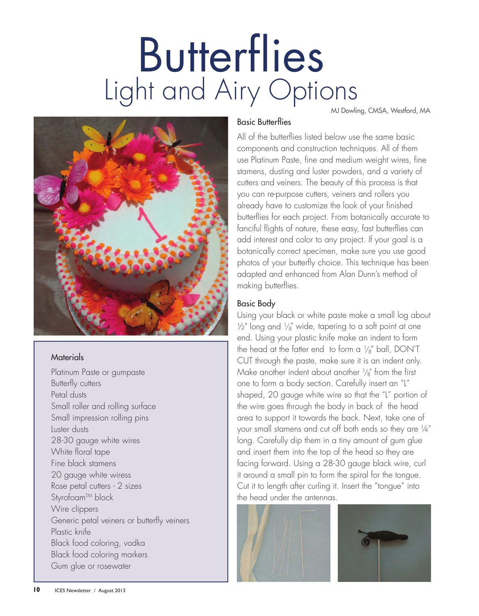# **Butterflies** Light and Airy Options MJ Dowling, CMSA, Westford, MA



## **Materials**

Platinum Paste or gumpaste Butterfly cutters Petal dusts Small roller and rolling surface Small impression rolling pins Luster dusts 28-30 gauge white wires White floral tape Fine black stamens 20 gauge white wiress Rose petal cutters - 2 sizes Styrofoam™ block Wire clippers Generic petal veiners or butterfly veiners Plastic knife Black food coloring, vodka Black food coloring markers Gum glue or rosewater

#### Basic Butterflies

All of the butterflies listed below use the same basic components and construction techniques. All of them use Platinum Paste, fine and medium weight wires, fine stamens, dusting and luster powders, and a variety of cutters and veiners. The beauty of this process is that you can re-purpose cutters, veiners and rollers you already have to customize the look of your finished butterflies for each project. From botanically accurate to fanciful flights of nature, these easy, fast butterflies can add interest and color to any project. If your goal is a botanically correct specimen, make sure you use good photos of your butterfly choice. This technique has been adapted and enhanced from Alan Dunn's method of making butterflies.

## Basic Body

Using your black or white paste make a small log about  $\frac{1}{2}$ " long and  $\frac{1}{8}$ " wide, tapering to a soft point at one end. Using your plastic knife make an indent to form the head at the fatter end to form a  $\frac{1}{8}$  ball, DON'T CUT through the paste, make sure it is an indent only. Make another indent about another  $\frac{1}{8}$ " from the first one to form a body section. Carefully insert an "L" shaped, 20 gauge white wire so that the "L" portion of the wire goes through the body in back of the head area to support it towards the back. Next, take one of your small stamens and cut off both ends so they are ¼" long. Carefully dip them in a tiny amount of gum glue and insert them into the top of the head so they are facing forward. Using a 28-30 gauge black wire, curl it around a small pin to form the spiral for the tongue. Cut it to length after curling it. Insert the "tongue" into the head under the antennas.